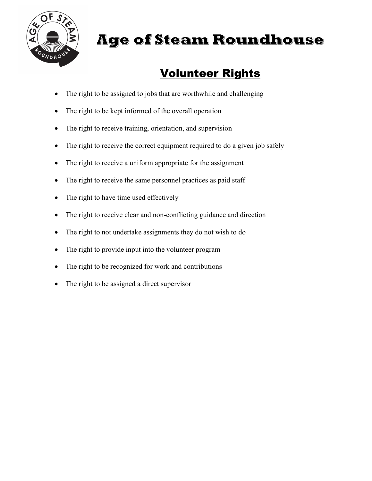

## **Age of Steam Roundhouse**

## Volunteer Rights

- The right to be assigned to jobs that are worthwhile and challenging
- The right to be kept informed of the overall operation
- The right to receive training, orientation, and supervision
- The right to receive the correct equipment required to do a given job safely
- The right to receive a uniform appropriate for the assignment
- The right to receive the same personnel practices as paid staff
- The right to have time used effectively
- The right to receive clear and non-conflicting guidance and direction
- The right to not undertake assignments they do not wish to do
- The right to provide input into the volunteer program
- The right to be recognized for work and contributions
- The right to be assigned a direct supervisor